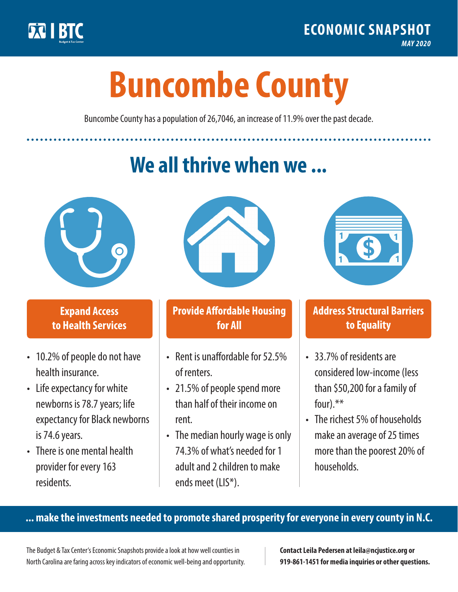

**1**

# **Buncombe County**

Buncombe County has a population of 26,7046, an increase of 11.9% over the past decade.

# **We all thrive when we ...**



**\$ <sup>1</sup>**

**\$ <sup>1</sup>**

## **Expand Access to Health Services**

- 10.2% of people do not have health insurance.
- Life expectancy for white newborns is 78.7years; life expectancy for Black newborns is 74.6 years.
- There is one mental health provider for every 163 residents.



## **Provide Affordable Housing for All**

- Rent is unaffordable for 52.5% of renters.
- 21.5% of people spend more than half of their income on rent.
- The median hourly wage is only 74.3% of what's needed for 1 adult and 2 children to make ends meet (LIS\*).



## **Address Structural Barriers to Equality**

- 33.7% of residents are considered low-income (less than \$50,200 for a family of four).\*\*
- The richest 5% of households make an average of 25 times more than the poorest 20% of households.

#### **... make the investments needed to promote shared prosperity for everyone in every county in N.C.**

The Budget & Tax Center's Economic Snapshots provide a look at how well counties in North Carolina are faring across key indicators of economic well-being and opportunity.